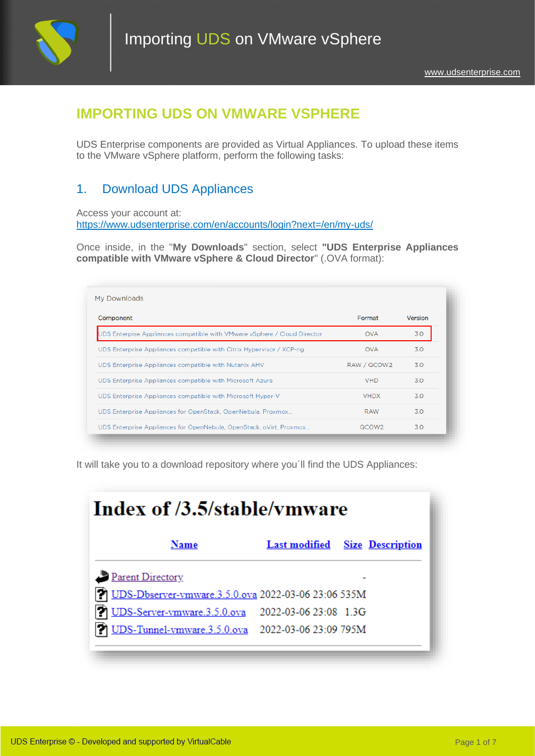

## **IMPORTING UDS ON VMWARE VSPHERE**

UDS Enterprise components are provided as Virtual Appliances. To upload these items to the VMware vSphere platform, perform the following tasks:

# 1. Download UDS Appliances

Access your account at: <https://www.udsenterprise.com/en/accounts/login?next=/en/my-uds/>

Once inside, in the "**My Downloads**" section, select **"UDS Enterprise Appliances compatible with VMware vSphere & Cloud Director**" (.OVA format):

| Component                                                                | Format            | Version |
|--------------------------------------------------------------------------|-------------------|---------|
| UDS Enterpise Appliances compatible with VMware vSphere / Cloud Director | <b>OVA</b>        | 3.0     |
| UDS Enterprise Appliances compatible with Citrix Hypervisor / XCP-ng     | <b>OVA</b>        | 30      |
| UDS Enterprise Appliances compatible with Nutanix AHV                    | RAW / QCOW2       | 3.0     |
| UDS Enterprise Appliances compatible with Microsoft Azure                | <b>VHD</b>        | 30      |
| UDS Enterprise Appliances compatible with Microsoft Hyper-V              | <b>VHDX</b>       | 30      |
| UDS Enterprise Appliances for OpenStack, OpenNebula, Proxmox             | <b>RAW</b>        | 3.0     |
| UDS Enterprise Appliances for OpenNebula, OpenStack, oVirt, Proxmox      | QCOW <sub>2</sub> | 3.0     |

It will take you to a download repository where you'll find the UDS Appliances:

| Index of /3.5/stable/ymware                                                                                 |                                       |
|-------------------------------------------------------------------------------------------------------------|---------------------------------------|
| Name                                                                                                        | <b>Last modified</b> Size Description |
| Parent Directory                                                                                            |                                       |
| DDS-Dbserver-vmware.3.5.0.ova 2022-03-06 23:06 535M                                                         |                                       |
| 7 UDS-Server-vmware.3.5.0.ova 2022-03-06 23:08 1.3G<br>19 UDS-Tunnel-vmware.3.5.0.ova 2022-03-06 23:09 795M |                                       |
|                                                                                                             |                                       |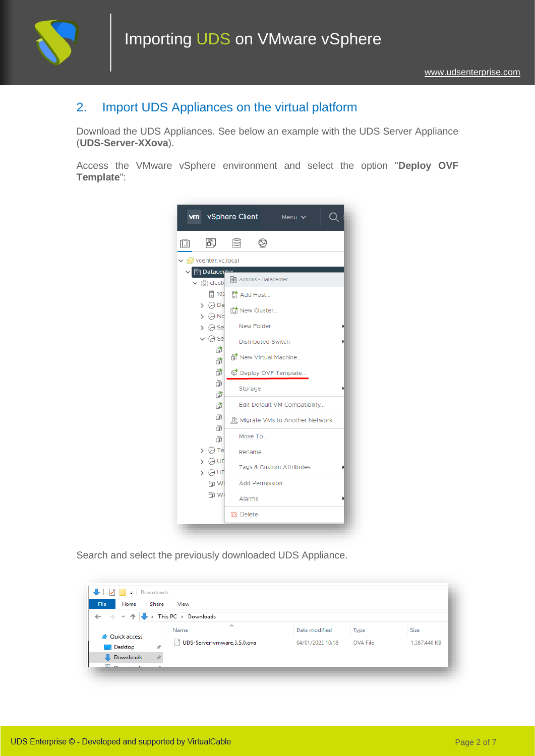

### 2. Import UDS Appliances on the virtual platform

Download the UDS Appliances. See below an example with the UDS Server Appliance (**UDS-Server-XXova**).

Access the VMware vSphere environment and select the option "**Deploy OVF Template**":



Search and select the previously downloaded UDS Appliance.

| File<br>Home                                                   | Share         | View                                                  |                  |          |              |
|----------------------------------------------------------------|---------------|-------------------------------------------------------|------------------|----------|--------------|
| $\leftarrow$ $\rightarrow$ $\rightarrow$ $\uparrow$ $\uparrow$ |               | $\blacktriangleright$ This PC $\rightarrow$ Downloads |                  |          |              |
|                                                                |               | $\wedge$<br>Name                                      | Date modified    | Type     | Size         |
| <b>A</b> Quick access                                          |               |                                                       |                  |          |              |
| <b>Desktop</b>                                                 | $\mathcal{R}$ | UDS-Server-vmware.3.5.0.ova                           | 04/01/2022 10:18 | OVA File | 1.387.440 KB |
| Downloads                                                      |               |                                                       |                  |          |              |
| <b>ARTICLE CONTRACTOR</b>                                      |               |                                                       |                  |          |              |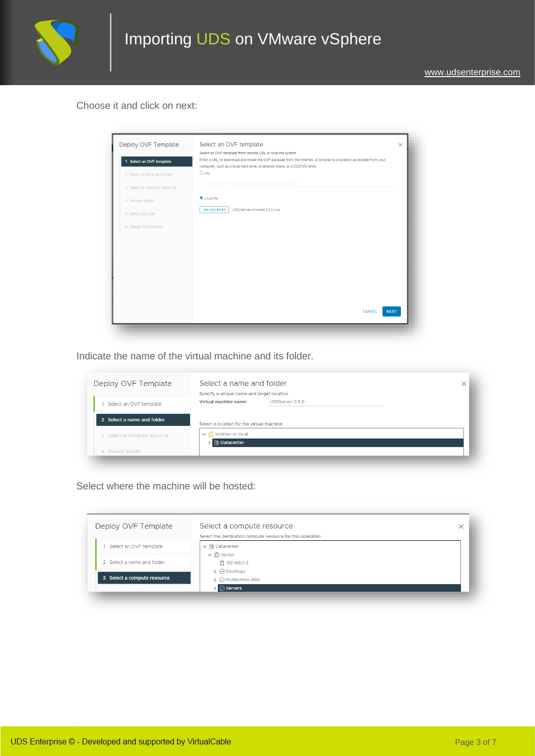

#### Choose it and click on next:



Indicate the name of the virtual machine and its folder.

| Deploy OVF Template         | Specify a unique name and target location         |                 |  |
|-----------------------------|---------------------------------------------------|-----------------|--|
| Select an OVF template      | Virtual machine name:                             | UDSServer-3.5.0 |  |
| 2 Select a name and folder  | Select a location for the virtual machine         |                 |  |
| 3 Select a compute resource | ▽ <mark>伊</mark> vcenter.vc.local<br>n Datacenter |                 |  |
| 4 Review details            |                                                   |                 |  |

Select where the machine will be hosted:

| Deploy OVF Template         | Select a compute resource<br>Select the destination compute resource for this operation | × |
|-----------------------------|-----------------------------------------------------------------------------------------|---|
| Select an OVF template      | $\vee$ <b>iii</b> Datacenter                                                            |   |
|                             | $\vee$ [[]] cluster                                                                     |   |
| 2 Select a name and folder  | □ 192.168.0.2                                                                           |   |
| 3 Select a compute resource | $\triangleright$ $\ominus$ Desktops<br>$\triangleright$ $\ominus$ NoMachine (NX)        |   |
|                             | A Servers                                                                               |   |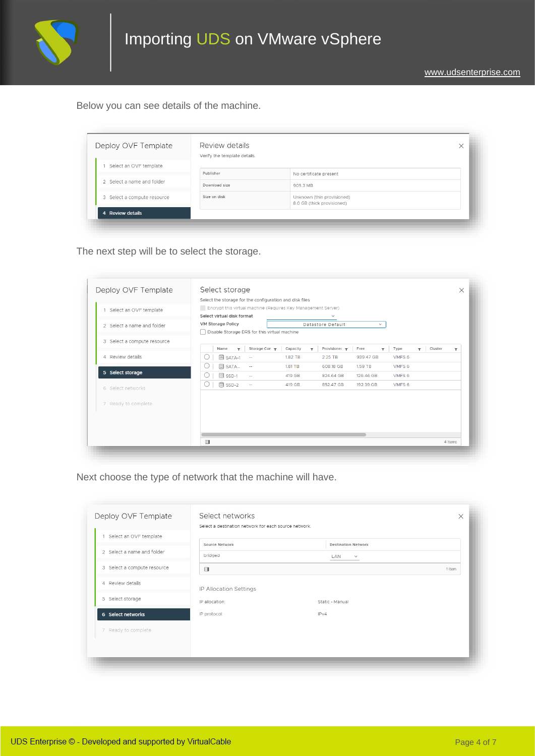

Below you can see details of the machine.

| Deploy OVF Template         | Review details<br>Verify the template details. |                                                          | $\times$ |
|-----------------------------|------------------------------------------------|----------------------------------------------------------|----------|
| Select an OVF template      |                                                |                                                          |          |
|                             | Publisher                                      | No certificate present                                   |          |
| 2 Select a name and folder  | Download size                                  | 905.3 MB                                                 |          |
| 3 Select a compute resource | Size on disk                                   | Unknown (thin provisioned)<br>8.0 GB (thick provisioned) |          |
| 4 Review details            |                                                |                                                          |          |

The next step will be to select the storage.

| Deploy OVF Template         | Select storage                                          |             |                                                               |                                  |                                 |                   |                                    | $\times$ |
|-----------------------------|---------------------------------------------------------|-------------|---------------------------------------------------------------|----------------------------------|---------------------------------|-------------------|------------------------------------|----------|
|                             | Select the storage for the configuration and disk files |             |                                                               |                                  |                                 |                   |                                    |          |
| Select an OVF template      |                                                         |             | Encrypt this virtual machine (Requires Key Management Server) |                                  |                                 |                   |                                    |          |
|                             | Select virtual disk format                              |             |                                                               | $\checkmark$                     |                                 |                   |                                    |          |
| 2 Select a name and folder  | <b>VM Storage Policy</b>                                |             |                                                               | Datastore Default                | $\checkmark$                    |                   |                                    |          |
|                             | Disable Storage DRS for this virtual machine            |             |                                                               |                                  |                                 |                   |                                    |          |
| 3 Select a compute resource |                                                         |             |                                                               |                                  |                                 |                   |                                    |          |
|                             | Name<br>$\overline{\mathbf{r}}$                         | Storage Con | Capacity<br>$\overline{\mathbf{r}}$                           | Provisioner $\blacktriangledown$ | Free<br>$\overline{\mathbf{r}}$ | Type              | Cluster<br>$\overline{\mathbf{r}}$ | ▼        |
| 4 Review details            | <b>B</b> SATA-1                                         | $\sim$      | 1.82 TB                                                       | 2.25 TB                          | 939.47 GB                       | VMFS <sub>6</sub> |                                    |          |
|                             | SATA                                                    | $\sim$      | 1.81 TB                                                       | 608.18 GB                        | 1.59 TB                         | VMFS <sub>6</sub> |                                    |          |
| 5 Select storage            | 目 SSD-1                                                 | ÷.          | 419 GB                                                        | 824.64 GB                        | 126.46 GB                       | VMFS <sub>6</sub> |                                    |          |
| 6 Select networks           | 目 SSD-2<br>◡                                            | $\sim$      | 419 GB                                                        | 852.47 GB                        | 192.39 GB                       | VMFS <sub>6</sub> |                                    |          |
| 7 Ready to complete         |                                                         |             |                                                               |                                  |                                 |                   |                                    |          |
|                             |                                                         |             |                                                               |                                  |                                 |                   |                                    |          |
|                             |                                                         |             |                                                               |                                  |                                 |                   |                                    |          |
|                             |                                                         |             |                                                               |                                  |                                 |                   |                                    |          |
|                             | $\Box$                                                  |             |                                                               |                                  |                                 |                   |                                    | 4 items  |

Next choose the type of network that the machine will have.

|                             | Select a destination network for each source network. |                            |        |
|-----------------------------|-------------------------------------------------------|----------------------------|--------|
| 1 Select an OVF template    | Source Network                                        | <b>Destination Network</b> |        |
| 2 Select a name and folder  | bridged                                               | LAN<br>$\checkmark$        |        |
| 3 Select a compute resource | $\Box$                                                |                            | 1 item |
| 4 Review details            | IP Allocation Settings                                |                            |        |
| 5 Select storage            | IP allocation:                                        | Static - Manual            |        |
| 6 Select networks           | IP protocol:                                          | IPv4                       |        |
| 7 Ready to complete         |                                                       |                            |        |
|                             |                                                       |                            |        |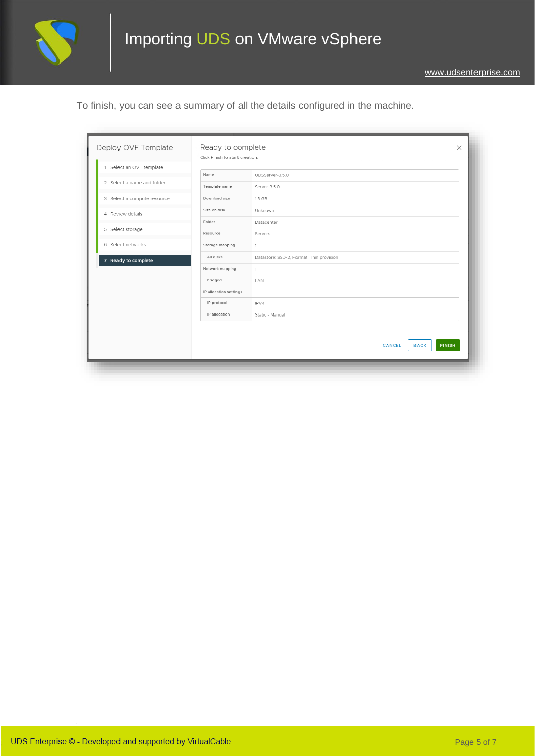

To finish, you can see a summary of all the details configured in the machine.

| Deploy OVF Template         | Ready to complete<br>Click Finish to start creation. |                                          | $\times$ |
|-----------------------------|------------------------------------------------------|------------------------------------------|----------|
| 1 Select an OVF template    |                                                      |                                          |          |
| 2 Select a name and folder  | Name                                                 | UDSServer-3.5.0                          |          |
| 3 Select a compute resource | Template name<br>Download size                       | Server-3.5.0<br>1.3 GB                   |          |
|                             | Size on disk                                         | Unknown                                  |          |
| 4 Review details            | Folder                                               | Datacenter                               |          |
| 5 Select storage            | Resource                                             | Servers                                  |          |
| 6 Select networks           | Storage mapping                                      | $\mathbf{1}$                             |          |
| 7 Ready to complete         | All disks                                            | Datastore: SSD-2; Format: Thin provision |          |
|                             | Network mapping                                      | $\mathbf{1}$                             |          |
|                             | bridged                                              | LAN                                      |          |
|                             | IP allocation settings                               |                                          |          |
|                             | IP protocol                                          | IPV4                                     |          |
|                             | IP allocation                                        | Static - Manual                          |          |
|                             |                                                      |                                          |          |
|                             |                                                      | <b>FINISH</b><br>CANCEL<br><b>BACK</b>   |          |
|                             |                                                      |                                          |          |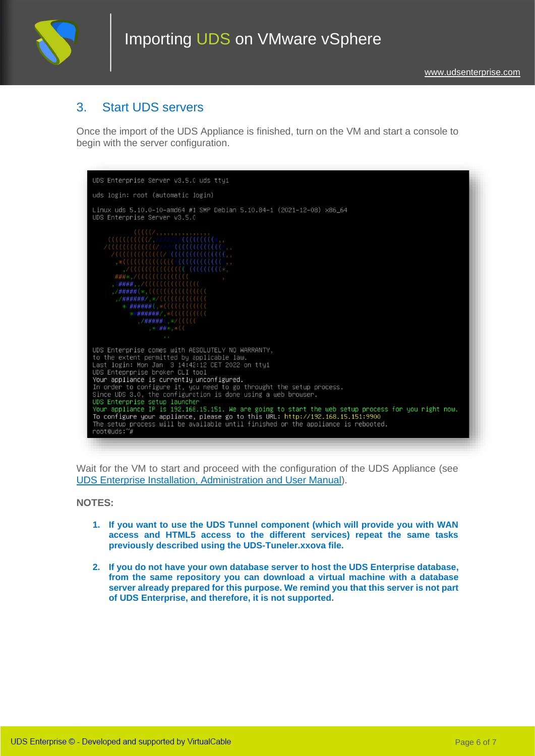

### 3. Start UDS servers

Once the import of the UDS Appliance is finished, turn on the VM and start a console to begin with the server configuration.



Wait for the VM to start and proceed with the configuration of the UDS Appliance (see [UDS Enterprise Installation, Administration and User Manual\)](https://www.udsenterprise.com/en/uds-enterprise/documentation/).

**NOTES:**

- **1. If you want to use the UDS Tunnel component (which will provide you with WAN access and HTML5 access to the different services) repeat the same tasks previously described using the UDS-Tuneler.xxova file.**
- **2. If you do not have your own database server to host the UDS Enterprise database, from the same repository you can download a virtual machine with a database server already prepared for this purpose. We remind you that this server is not part of UDS Enterprise, and therefore, it is not supported.**